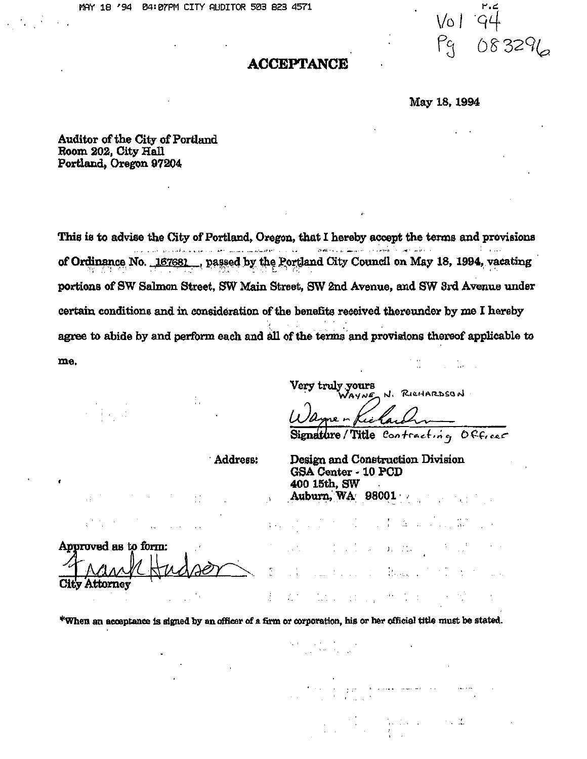$\lor$ 01 Pq 83291

#### **AOCEPTANCE**

May 18,1994

Auditor of the City of Portland Room 202, City Hall Portland, Oregon 97204

This is to advise the City of Portland, Oregon, that I hereby accept the terms and provisions , ,'"-" -, ...- '-- .. "- . .., .., of Ordinance No. 167681. ..., passed by the Portland City Council on May 18, 1994, vacating portions of SW Salmon Street, SW Main Street, SW 2nd Avenue, and SW 3rd Avenue under certain conditions and in consideration of the benefits received thereunder by me I hereby agree to abide by and perform each and all of the terms and provisions thereof applicable to me.

> truly yours AYNE N. RICHARDSON

<u>Wa</u>  $\frac{1}{2}$ 

 $\mathbb{R}^2$  , then

 $\mathrm{Si}_\mathrm{i}$ Title Contracting Officer

÷.

, Address: Design and Construction Division GSA Center· 10 PCD 400 15th, SW Auburn, WA' 98001

Approved as to form:<br> *T. A.A. A.M.* Hudson City Attorney rank Hudson

\*When an acceptance is signed by an officer of a firm or corporation, his or her official title must be stated.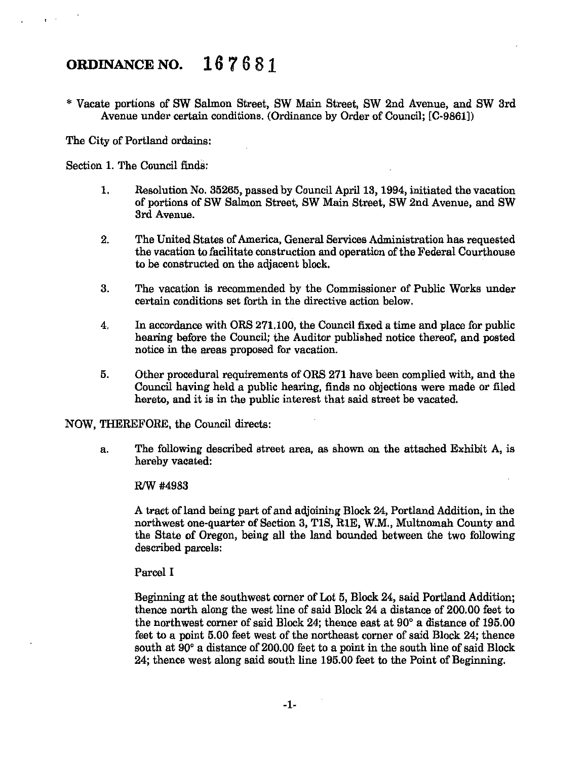## **ORDINANCE NO. 167681**

\* Vacate portions of SW Salmon Street, SW Main Street, SW 2nd Avenue, and SW 3rd Avenue under certain conditions. (Ordinance by Order of Council; [C-9861])

The City of Portland ordains:

Section 1. The Council finds:

- 1. Resolution No. 35265, passed by Council April 13, 1994, initiated the vacation of portions of SW Salmon Street, SW Main Street, SW 2nd Avenue, and SW 3rd Avenue.
- 2. The United States of America, General Services Administration has requested the vacation to facilitate construction and operation of the Federal Courthouse to be constructed on the adjacent block.
- 3. The vacation is recommended by the Commissioner of Public Works under certain conditions set forth in the directive action below.
- 4. In accordance with ORS 271.100, the Council fixed a time and place for public hearing before the Council; the Auditor published notice thereof, and posted notice in the areas proposed for vacation.
- 5. Other procedural requirements of ORS 271 have been complied with, and the Council having held a public hearing, finds no objections were made or filed hereto, and it is in the public interest that said street be vacated.

NOW, THEREFORE, the Council directs:

a. The following described street area, as shown on the attached Exhibit A, is hereby vacated:

R/W #4983

A tract of land being part of and adjoining Block 24, Portland Addition, in the northwest one-quarter of Section 3, TIS, RIE, W.M., Multnomah County and the State of Oregon, being all the land bounded between the two following described parcels:

Parcel I

Beginning at the southwest corner of Lot 5, Block 24, said Portland Addition; thence north along the west line of said Block 24 a distance of 200.00 feet to the northwest corner of said Block 24; thence east at 90° a distance of 195.00 feet to a point 5.00 feet west of the northeast corner of said Block 24; thence south at 90° a distance of 200.00 feet to a point in the south line of said Block 24; thence west along said south line 195.00 feet to the Point of Beginning.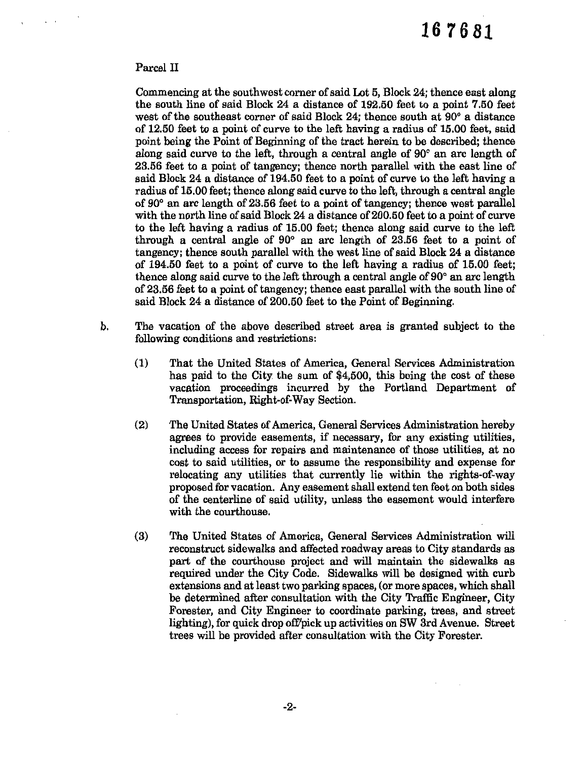#### Parcel II

Commencing at the southwest corner ofsaid Lot 5, Block 24; thence east along the south line of said Block 24 a distance of 192.50 feet to a point 7.50 feet west of the southeast corner of said Block 24; thence south at 90° a distance of 12.50 feet to a point of curve to the left having a radius of 15.00 feet, said point being the Point of Beginning of the tract herein to be described; thence along said curve to the left, through a central angle of 90° an arc length of 23.56 feet to a point of tangency; thence north parallel with the east line of said Block 24 a distance of 194.50 feet to a point of curve to the left having a radius of 15.00 feet; thence along said curve to the left, through a central angle of 90° an arc length of 23.56 feet to a point of tangency; thence west parallel with the north line of said Block 24 a distance of 200.50 feet to a point of curve to the left having a radius of 15.00 feet; thence along said curve to the left through a central angle of 90° an arc length of 23.56 feet to a point of tangency; thence south parallel with the west line of said Block 24 a distance of 194.50 feet to a point of curve to the left having a radius of 15.00 feet; thence along said curve to the left through a central angle of 90° an arc length of 23.56 feet to a point of tangency; thence east parallel with the south line of said Block 24 a distance of 200.50 feet to the Point of Beginning.

- b. The vacation of the above described street area is granted subject to the following conditions and restrictions:
	- (1) That the United States of America, General Services Administration has paid to the City the sum of \$4,500, this being the cost of these vacation proceedings incurred by the Portland Department of Transportation, Right-of-Way Section.
	- (2) The United States of America, General Services Administration hereby agrees to provide easements, if necessary, for any existing utilities, including access for repairs and maintenance of those utilities, at no cost to said utilities, or to assume the responsibility and expense for relocating any utilities that currently lie within the rights-of-way proposed for vacation. Any easement shall extend ten feet on both sides of the centerline of said utility, unless the easement would interfere with the courthouse.
	- (3) The United States of America, General Services Administration will reconstruct sidewalks and affected roadway areas to City standards as part of the courthouse project and will maintain the sidewalks as required under the City Code. Sidewalks will be designed with curb extensions and at least two parking spaces, (or more spaces, which shall be determined after consultation with the City Traffic Engineer, City Forester, and City Engineer to coordinate parking, trees, and street lighting), for quick drop off/pick up activities on SW 3rd Avenue. Street trees will be provided after consultation with the City Forester.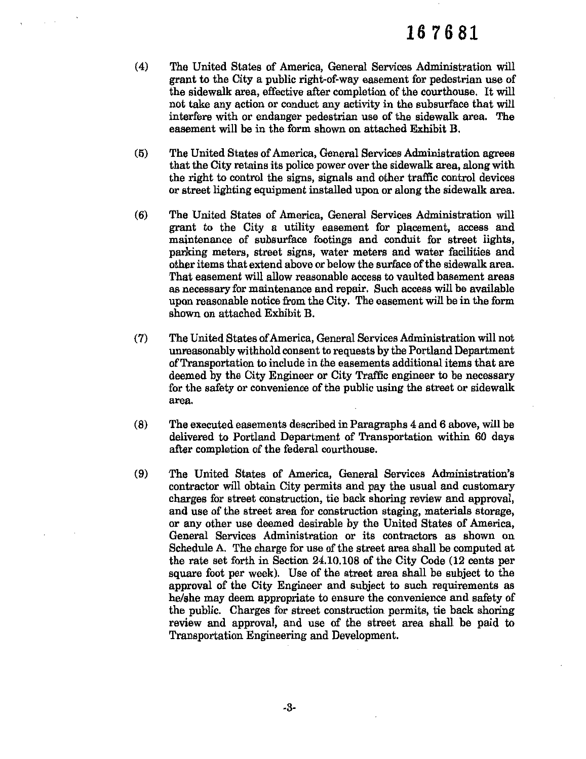- (4) The United States of America, General Services Administration will grant to the City a public right-of-way easement for pedestrian use of the sidewalk area, effective after completion of the courthouse. It will not take any action or conduct any activity in the subsurface that will interfere with or endanger pedestrian use of the sidewalk area. The easement will be in the form shown on attached Exhibit B.
- (5) The United States of America, General Services Administration agrees that the City retains its police power over the sidewalk area, along with the right to control the signs, signals and other traffic control devices or street lighting equipment installed upon or along the sidewalk area.
- (6) The United States of America, General Services Administration will grant to the City a utility easement for placement, access and maintenance of subsurface footings and conduit for street lights, parking meters, street signs, water meters and water facilities and other items that extend above or below the surface of the sidewalk area. That easement will allow reasonable access to vaulted basement areas as necessary for maintenance and repair. Such access will be available upon reasonable notice from the City. The easement will be in the form shown on attached Exhibit B.
- (7) The United States ofAmerica, General Services Administration will not unreasonably withhold consent to requests by the Portland Department ofTransportation to include in the easements additional items that are deemed by the City Engineer or City Traffic engineer to be necessary for the safety or convenience of the public using the street or sidewalk area.
- (8) The executed easements described in Paragraphs 4 and 6 above, will be delivered to Portland Department of Transportation within 60 days after completion of the federal courthouse.
- (9) The United States of America, General Services Administration's contractor will obtain City permits and pay the usual and customary charges for street construction, tie back shoring review and approval, and use of the street area for construction staging, materials storage, or any other use deemed desirable by the United States of America, General Services Administration or its contractors as shown on Schedule A. The charge for use of the street area shall be computed at the rate set forth in Section 24.10.108 of the City Code (12 cents per square foot per week). Use of the street area shall be subject to the approval of the City Engineer and subject to such requirements as he/she may deem appropriate to ensure the convenience and safety of the public. Charges for street construction permits, tie back shoring review and approval, and use of the street area shall be paid to Transportation Engineering and Development.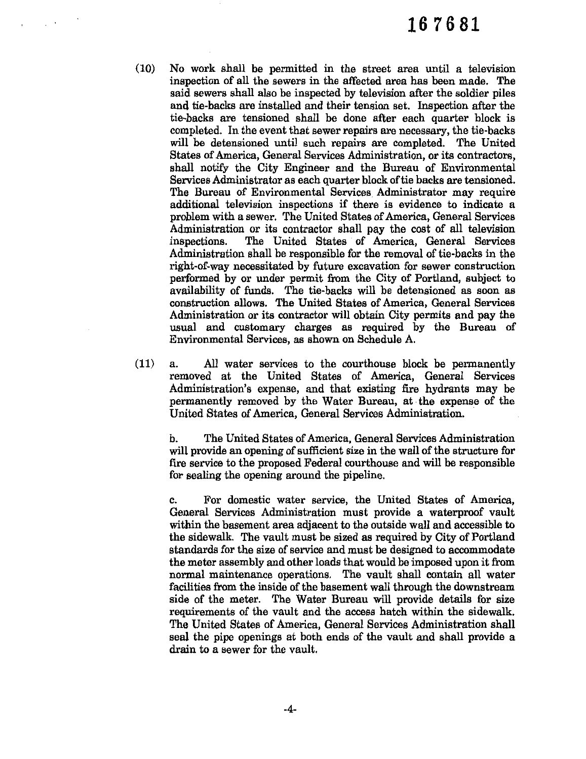- (10) No work shall be permitted in the street area until a television inspection of all the sewers in the affected area has been made. The said sewers shall also be inspected by television after the soldier piles and tie-backs are installed and their tension set. Inspection after the tie-backs are tensioned shall be done after each quarter block is completed. In the event that sewer repairs are necessary, the tie-backs will be detensioned until such repairs are completed. The United States of America, General Services Administration, or its contractors, shall notify the City Engineer and the Bureau of Environmental Services Administrator as each quarter block of tie backs are tensioned. The Bureau of Environmental Services. Administrator may require additional television inspections if there is evidence to indicate a problem with a sewer. The United States of America, General Services Administration or its contractor shall pay the cost of all television inspections. The United States of America, General Services The United States of America, General Services Administration shall be responsible for the removal of tie-backs in the right-of-way necessitated by future excavation for sewer construction performed by or under permit from the City of Portland, subject to availability of funds. The tie-backs will be detensioned as soon as construction allows. The United States of America, General Services Administration or its contractor will obtain City permits and pay the usual and customary charges as required by the Bureau of Environmental Services, as shown on Schedule A.
- (11) a. All water services to the courthouse block be permanently removed at the United States of America, General Services Administration's expense, and that existing fire hydrants may be permanently removed by the Water Bureau, at the expense of the United States of America, General Services Administration.

b. The United States of America, General Services Administration will provide an opening of sufficient size in the wall of the structure for fire service to the proposed Federal courthouse and will be responsible for sealing the opening around the pipeline.

c. For domestic water service, the United States of America, General Services Administration must provide a waterproof vault within the basement area adjacent to the outside wall and accessible to the sidewalk. The vault must be sized as required by City of Portland standards for the size of service and must be designed to accommodate the meter assembly and other loads that would be imposed upon it from normal maintenance operations. The vault shall contain all water facilities from the inside of the basement wall through the downstream side of the meter. The Water Bureau will provide details for size requirements of the vault and the access hatch within the sidewalk. The United States of America, General Services Administration shall seal the pipe openings at both ends of the vault and shall provide a drain to a sewer for the vault.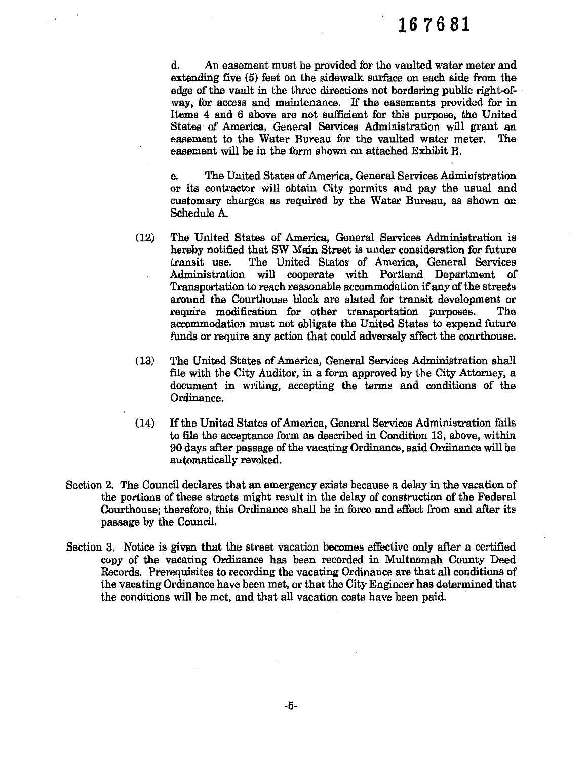d. An easement must be provided for the vaulted water meter and extending five (5) feet on the sidewalk surface on each side from the edge of the vault in the three directions not bordering public right-ofway, for access and maintenance. If the easements provided for in Items 4 and 6 above are not sufficient for this purpose, the United States of America, General Services Administration will grant an easement to the Water Bureau for the vaulted water meter. The easement will be in the form shown on attached Exhibit B.

e. The United States of America, General Services Administration or its contractor will obtain City permits and pay the usual and customary charges as required by the Water Bureau, as shown on Schedule A.

- (12) The United States of America, General Services Administration is hereby notified that SW Main Street is under consideration for future transit use. The United States of America, General Services Administration will cooperate with Portland Department of Transportation to reach reasonable accommodation if any of the streets around the Courthouse block are slated for transit development or require modification for other transportation purposes. The accommodation must not obligate the United States to expend future funds or require any action that could adversely affect the courthouse.
- (13) The United States of America, General Services Administration shall file with the City Auditor, in a form approved by the City Attorney, a document in writing, accepting the terms and conditions of the Ordinance.
- (14) If the United States of America, General Services Administration fails to file the acceptance form as described in Condition 13, above, within 90 days after passage of the vacating Ordinance, said Ordinance will be automatically revoked.
- Section 2. The Council declares that an emergency exists because a delay in the vacation of the portions of these streets might result in the delay of construction of the Federal Courthouse; therefore, this Ordinance shall be in force and effect from and after its passage by the Council.
- Section 3. Notice is given that the street vacation becomes effective only after a certified copy of the vacating Ordinance has been recorded in Multnomah County Deed Records. Prerequisites to recording the vacating Ordinance are that all conditions of the vacating Ordinance have been met, or that the City Engineer has determined that the conditions will be met, and that all vacation costs have been paid.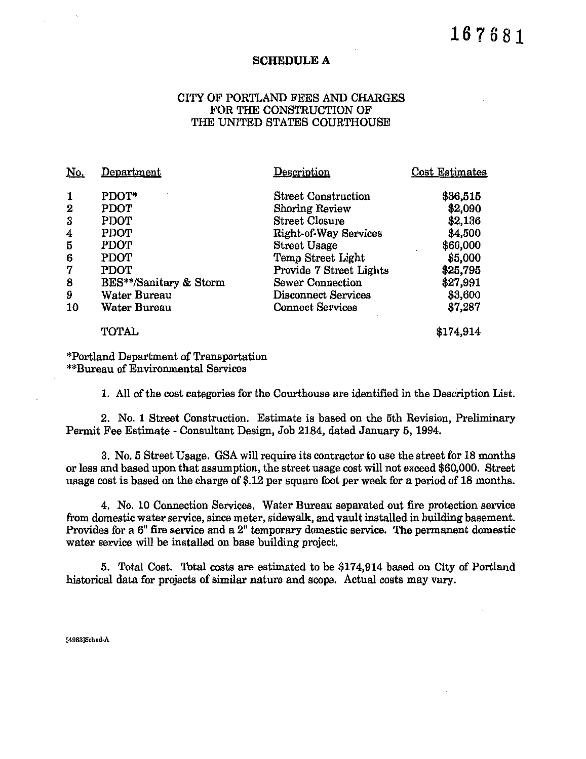#### SCHEDULE A

#### CITY OF PORTLAND FEES AND CHARGES FOR THE CONSTRUCTION OF THE UNITED STATES COURTHOUSE

| <u>No.</u>  | Department             | Description                  | Cost Estimates |
|-------------|------------------------|------------------------------|----------------|
| $\mathbf 1$ | PDOT*                  | <b>Street Construction</b>   | \$36,515       |
| $\mathbf 2$ | <b>PDOT</b>            | Shoring Review               | \$2,090        |
| 3           | <b>PDOT</b>            | <b>Street Closure</b>        | \$2,136        |
| 4           | <b>PDOT</b>            | <b>Right-of-Way Services</b> | \$4,500        |
| 5           | PDOT                   | <b>Street Usage</b>          | \$60,000       |
| 6           | PDOT                   | Temp Street Light            | \$5,000        |
| 7           | PDOT                   | Provide 7 Street Lights      | \$25,795       |
| 8           | BES**/Sanitary & Storm | <b>Sewer Connection</b>      | \$27,991       |
| 9           | Water Bureau           | <b>Disconnect Services</b>   | \$3,600        |
| 10          | Water Bureau           | <b>Connect Services</b>      | \$7,287        |
|             | <b>TOTAL</b>           |                              | \$174,914      |

#### \*Portland Department of Transportation \*\*Bureau of Environmental Services

1. All of the cost categories for the Courthouse are identified in the Description List.

2. No. 1 Street Construction. Estimate is based on the 5th Revision, Preliminary Permit Fee Estimate - Consultant Design, Job 2184, dated January 5, 1994.

3. No. 5 Street Usage. GSA will require its contractor to use the street for 18 months or less and based upon that assumption, the street usage cost will not exceed \$60,000. Street usage cost is based on the charge of \$.12 per square foot per week for a period of 18 months.

4. No. 10 Connection Services. Water Bureau separated out fire protection service from domestic water service, since meter, sidewalk, and vault installed in building basement. Provides for a  $6$ " fire service and a  $2$ " temporary domestic service. The permanent domestic water service will be installed on base building project.

5. Total Cost. Total costs are estimated to be \$174,914 based on City of Portland historical data for projects of similar nature and scope. Actual costs may vary.

**[49831Sched·A**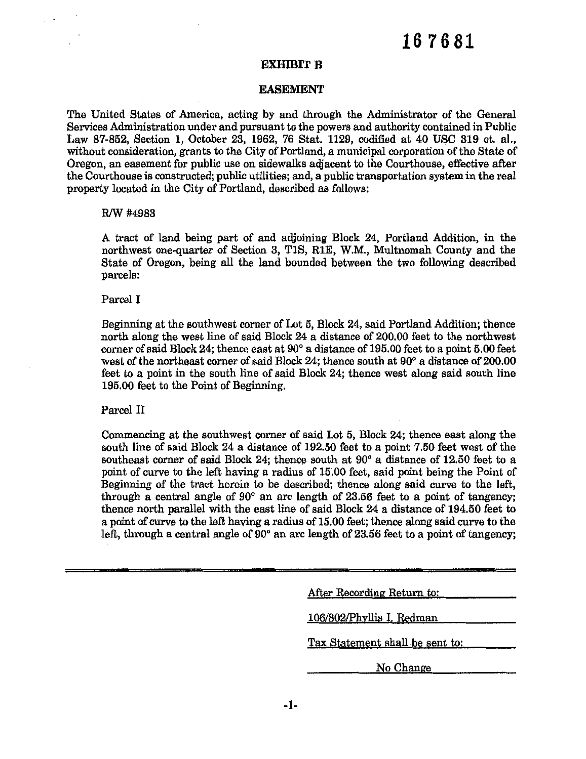#### **EXHIBIT B**

#### **EASEMENT**

The United States of America, acting by and through the Administrator of the General Services Administration under and pursuant to the powers and authority contained in Public Law 87-852, Section I, October 23, 1962, 76 Stat. 1129, codified at 40 USC 319 et. al.; without consideration, grants to the City of Portland, a municipal corporation of the State of Oregon, an easement for public use on sidewalks adjacent to the Courthouse, effective after the Courthouse is constructed; public utilities; and, a public transportation system in the real property located in the City of Portland, described as follows:

#### *RJW#4983*

A tract of land being part of and adjoining Block 24, Portland Addition, in the northwest one-quarter of Section 3, TIS, RIE, W.M., Multnomah County and the State of Oregon, being all the land bounded between the two following described parcels:

#### Parcel I

Beginning at the southwest corner of Lot 5, Block 24, said Portland Addition; thence north along the west line of said Block 24 a distance of 200.00 feet to the northwest corner of said Block 24; thence east at 90° a distance of 195.00 feet to a point 5.00 feet west of the northeast corner of said Block 24; thence south at  $90^{\circ}$  a distance of  $200.00$ feet to a point in the south line of said Block 24; thence west along said south line 195.00 feet to the Point of Beginning.

#### Parcel II

Commencing at the southwest corner of said Lot 5, Block 24; thence east along the south line of said Block 24 a distance of 192.50 feet to a point 7.50 feet west of the southeast corner of said Block 24; thence south at 90° a distance of 12.50 feet to a point of curve to the left having a radius of 15.00 feet, said point being the Point of Beginning of the tract herein to be described; thence along said curve to the left, through a central angle of 90° an arc length of 23.56 feet to a point of tangency; thence north parallel with the east line of said Block 24 a distance of 194.50 feet to a point of curve to the left having a radius of 15.00 feet; thence along said curve to the left, through a central angle of 90° an arc length of 23.56 feet to a point of tangency;

| After Recording Return to:      |
|---------------------------------|
| 106/802/Phyllis I. Redman       |
| Tax Statement shall be sent to: |
| No Change                       |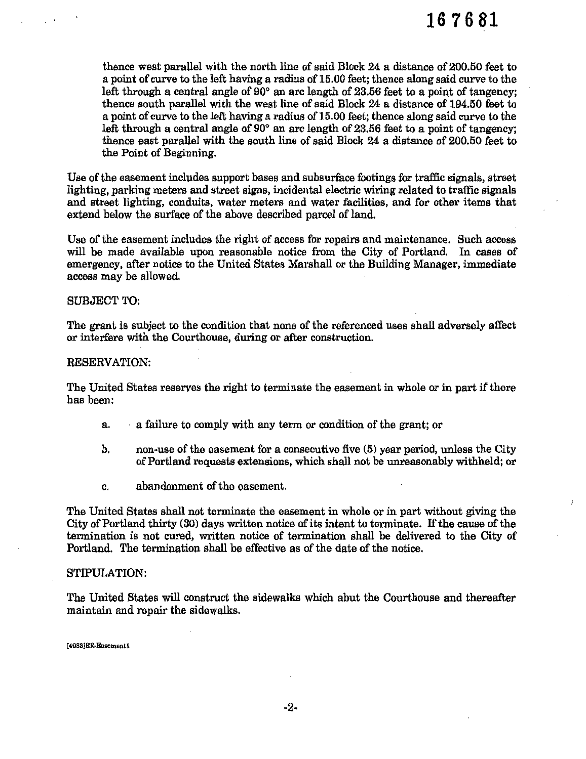thence west parallel with the north line of said Block 24 a distance of 200.50 feet to a point of curve to the left having a radius of 15.00 feet; thence along said curve to the left through a central angle of 90° an arc length of 23.56 feet to a point of tangency; thence south parallel with the west line of said Block 24 a distance of 194.50 feet to a point of curve to the left having a radius of 15.00 feet; thence along said curve to the left through a central angle of 90° an arc length of 23.56 feet to a point of tangency; thence east parallel with the south line of said Block 24 a distance of 200.50 feet to the Point of Beginning.

Use of the easement includes support bases and subsurface footings for traffic signals, street lighting, parking meters and street signs, incidental electric wiring related to traffic signals and street lighting, conduits, water meters and water facilities, and for other items that extend below the surface of the above described parcel of land.

Use of the easement includes the right of access for repairs and maintenance. Such access will be made available upon reasonable notice from the City of Portland. In cases of emergency, after notice to the United States Marshall or the Building Manager, immediate access may be allowed.

#### SUBJECT TO:

The grant is subject to the condition that none of the referenced uses shall adversely affect or interfere with the Courthouse, during or after construction.

#### RESERVATION:

The United States reserves the right to terminate the easement in whole or in part if there has been:

- a. a failure to comply with any term or condition of the grant; or
- b. non-use of the easement for a consecutive five (5) year period, unless the City of Portland requests extensions, which shall not be unreasonably withheld; or
- c. abandonment of the easement.

The United States shall not terminate the easement in whole or in part without giving the City of Portland thirty (30) days written notice of its intent to terminate. If the cause of the termination is not cured, written notice of termination shall be delivered to the City of Portland. The termination shall be effective as of the date of the notice.

#### STIPULATION:

The United States will construct the sidewalks which abut the Courthouse and thereafter maintain and repair the sidewalks.

**[4983]ER-Easementl**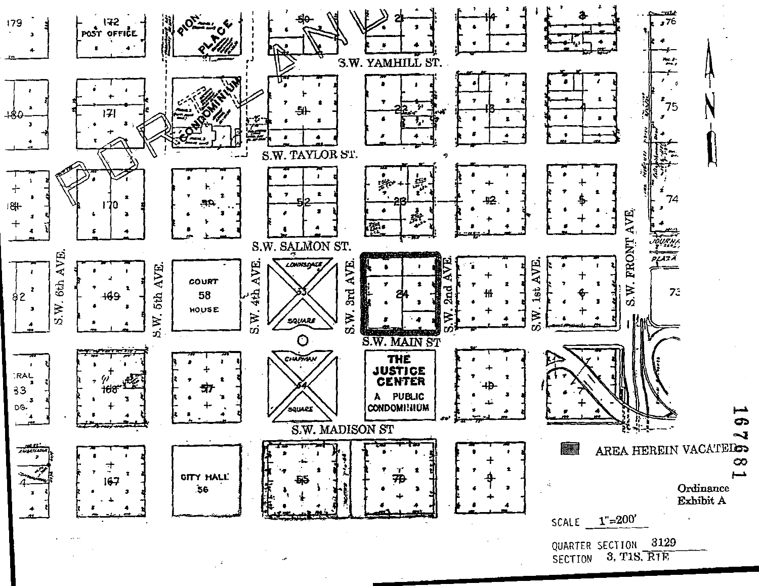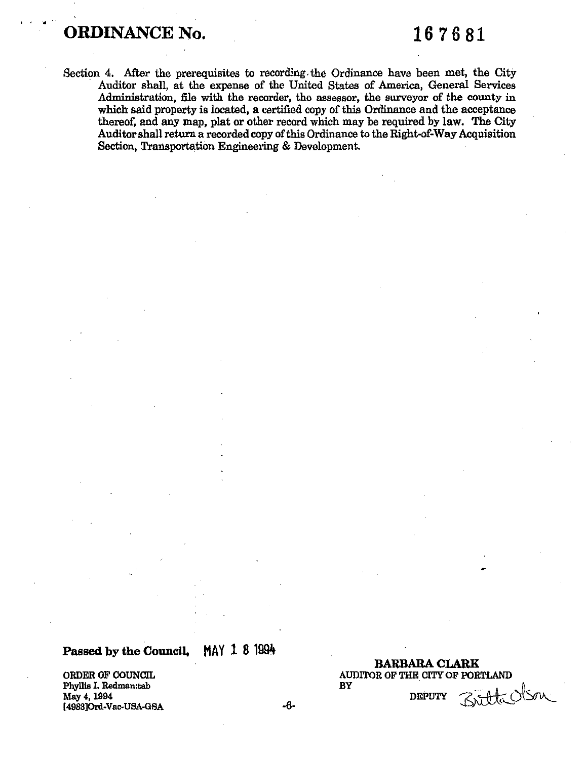### **ORDINANCE No.** 167681

Section 4. After the prerequisites to recording. the Ordinance have been met, the City Auditor shall, at the expense of the United States of America, General Services Administration, file with the recorder, the assessor, the surveyor of the county in which said property is located, a certified copy of this Ordinance and the acceptance thereof, and any map, plat or other record which may be required by law. The City Auditor shall return a recorded copy of this Ordinance to the Right-of-Way Acquisition Section, Transportation Engineering & Development.

### **Passed by the Council, MAY 1 8 1994**

Phyllis I. Redman:tab May 4, 1994 (4988]Ord-Vac-USA-GSA -6-

**BARBARA CLARK**  ORDER OF COUNCIL AUDITOR OF THE CITY OF PORTLAND BY • fi

DEPUTY

 $7,46$  ODM